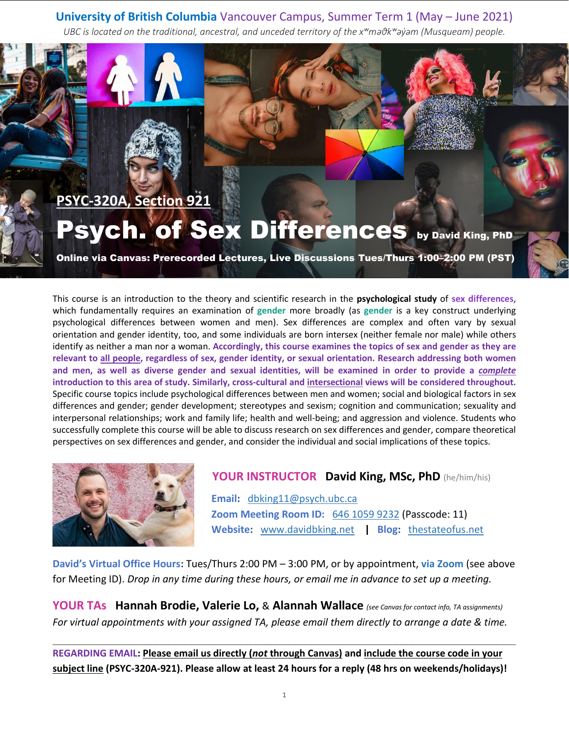# **University of British Columbia** Vancouver Campus, Summer Term 1 (May – June 2021)

*UBC is located on the traditional, ancestral, and unceded territory of the xʷməθkʷəyə̓ m (Musqueam) people.*



This course is an introduction to the theory and scientific research in the **psychological study** of **sex differences**, which fundamentally requires an examination of **gender** more broadly (as **gender** is a key construct underlying psychological differences between women and men). Sex differences are complex and often vary by sexual orientation and gender identity, too, and some individuals are born intersex (neither female nor male) while others identify as neither a man nor a woman. **Accordingly, this course examines the topics of sex and gender as they are relevant to all people, regardless of sex, gender identity, or sexual orientation. Research addressing both women and men, as well as diverse gender and sexual identities, will be examined in order to provide a** *complete* **introduction to this area of study. Similarly, cross-cultural and intersectional views will be considered throughout.** Specific course topics include psychological differences between men and women; social and biological factors in sex differences and gender; gender development; stereotypes and sexism; cognition and communication; sexuality and interpersonal relationships; work and family life; health and well-being; and aggression and violence. Students who successfully complete this course will be able to discuss research on sex differences and gender, compare theoretical perspectives on sex differences and gender, and consider the individual and social implications of these topics.



# **YOUR INSTRUCTOR David King, MSc, PhD** (he/him/his)

 **Email:** [dbking11@psych.ubc.ca](mailto:dbking11@psych.ubc.ca) **Zoom Meeting Room ID:** [646 1059 9232](https://ubc.zoom.us/j/64610599232?pwd=NDJqTXJFdnFmTitnQURHblR3THQvUT09) (Passcode: 11) **Website:** [www.davidbking.net](http://www.davidbking.net/) **| Blog:** [thestateofus.net](http://www.thestateofus.net/)

**David's Virtual Office Hours:** Tues/Thurs 2:00 PM – 3:00 PM, or by appointment, **via Zoom** (see above for Meeting ID). *Drop in any time during these hours, or email me in advance to set up a meeting.*

**YOUR TAs Hannah Brodie, Valerie Lo,** & **Alannah Wallace** *(see Canvas for contact info, TA assignments) For virtual appointments with your assigned TA, please email them directly to arrange a date & time.*

**REGARDING EMAIL: Please email us directly (***not* **through Canvas) and include the course code in your subject line (PSYC-320A-921). Please allow at least 24 hours for a reply (48 hrs on weekends/holidays)!**

\_\_\_\_\_\_\_\_\_\_\_\_\_\_\_\_\_\_\_\_\_\_\_\_\_\_\_\_\_\_\_\_\_\_\_\_\_\_\_\_\_\_\_\_\_\_\_\_\_\_\_\_\_\_\_\_\_\_\_\_\_\_\_\_\_\_\_\_\_\_\_\_\_\_\_\_\_\_\_\_\_\_\_\_\_\_\_\_\_\_\_\_\_\_\_\_\_\_\_\_\_\_\_\_\_\_\_\_\_\_\_\_\_\_\_\_\_\_\_\_\_\_\_\_\_\_\_\_\_\_\_\_\_\_\_\_\_\_\_\_\_\_\_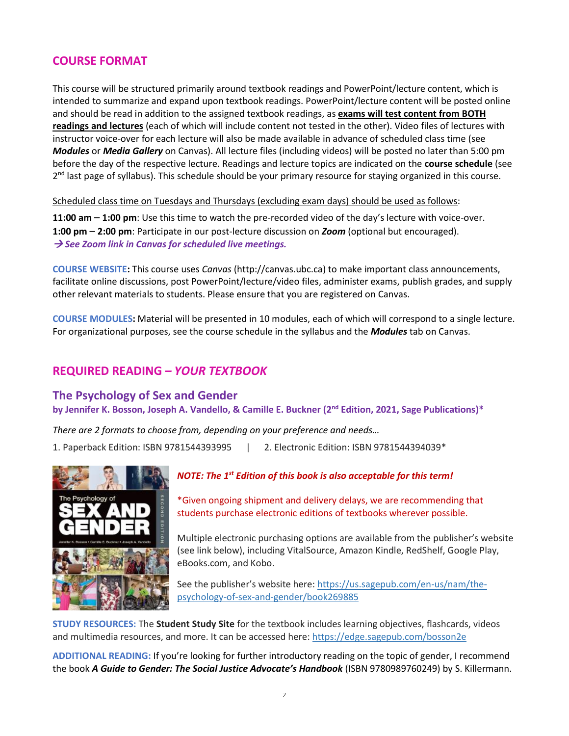# **COURSE FORMAT**

This course will be structured primarily around textbook readings and PowerPoint/lecture content, which is intended to summarize and expand upon textbook readings. PowerPoint/lecture content will be posted online and should be read in addition to the assigned textbook readings, as **exams will test content from BOTH readings and lectures** (each of which will include content not tested in the other). Video files of lectures with instructor voice-over for each lecture will also be made available in advance of scheduled class time (see *Modules* or *Media Gallery* on Canvas). All lecture files (including videos) will be posted no later than 5:00 pm before the day of the respective lecture. Readings and lecture topics are indicated on the **course schedule** (see 2<sup>nd</sup> last page of syllabus). This schedule should be your primary resource for staying organized in this course.

Scheduled class time on Tuesdays and Thursdays (excluding exam days) should be used as follows:

**11:00 am** – **1:00 pm**: Use this time to watch the pre-recorded video of the day's lecture with voice-over. **1:00 pm** – **2:00 pm**: Participate in our post-lecture discussion on *Zoom* (optional but encouraged). → *See Zoom link in Canvas for scheduled live meetings.*

**COURSE WEBSITE:** This course uses *Canvas* (http://canvas.ubc.ca) to make important class announcements, facilitate online discussions, post PowerPoint/lecture/video files, administer exams, publish grades, and supply other relevant materials to students. Please ensure that you are registered on Canvas.

**COURSE MODULES:** Material will be presented in 10 modules, each of which will correspond to a single lecture. For organizational purposes, see the course schedule in the syllabus and the *Modules* tab on Canvas.

### **REQUIRED READING** *– YOUR TEXTBOOK*

#### **The Psychology of Sex and Gender**

**by Jennifer K. Bosson, Joseph A. Vandello, & Camille E. Buckner (2 nd Edition, 2021, Sage Publications)\***

*There are 2 formats to choose from, depending on your preference and needs…* 1. Paperback Edition: ISBN 9781544393995 | 2. Electronic Edition: ISBN 9781544394039\*



#### *NOTE: The 1st Edition of this book is also acceptable for this term!*

\*Given ongoing shipment and delivery delays, we are recommending that students purchase electronic editions of textbooks wherever possible.

Multiple electronic purchasing options are available from the publisher's website (see link below), including VitalSource, Amazon Kindle, RedShelf, Google Play, eBooks.com, and Kobo.

See the publisher's website here[: https://us.sagepub.com/en-us/nam/the](https://us.sagepub.com/en-us/nam/the-psychology-of-sex-and-gender/book269885)[psychology-of-sex-and-gender/book269885](https://us.sagepub.com/en-us/nam/the-psychology-of-sex-and-gender/book269885)

**STUDY RESOURCES:** The **Student Study Site** for the textbook includes learning objectives, flashcards, videos and multimedia resources, and more. It can be accessed here:<https://edge.sagepub.com/bosson2e>

**ADDITIONAL READING:** If you're looking for further introductory reading on the topic of gender, I recommend the book *A Guide to Gender: The Social Justice Advocate's Handbook* (ISBN 9780989760249) by S. Killermann.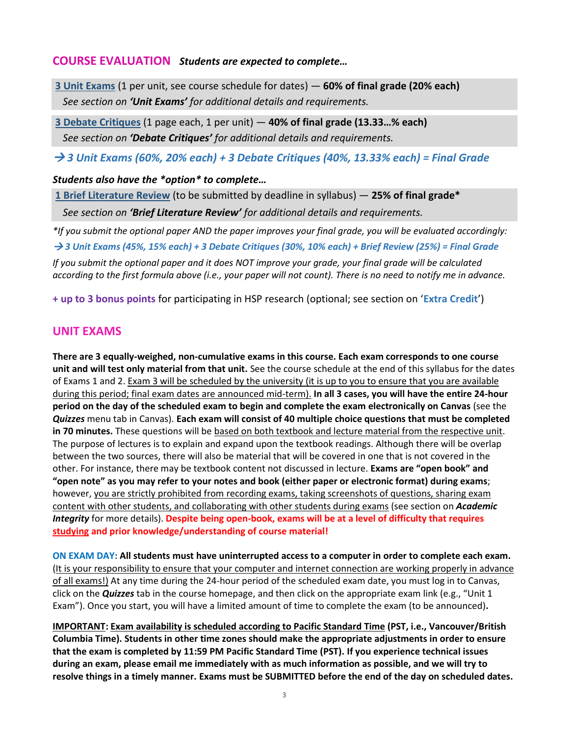#### **COURSE EVALUATION** *Students are expected to complete…*

**3 Unit Exams** (1 per unit, see course schedule for dates) — **60% of final grade (20% each)** *See section on 'Unit Exams' for additional details and requirements.*

**3 Debate Critiques** (1 page each, 1 per unit) — **40% of final grade (13.33…% each)** *See section on 'Debate Critiques' for additional details and requirements.*

→ *3 Unit Exams (60%, 20% each) + 3 Debate Critiques (40%, 13.33% each) = Final Grade*

#### *Students also have the \*option\* to complete…*

**1 Brief Literature Review** (to be submitted by deadline in syllabus) — **25% of final grade\***

*See section on 'Brief Literature Review' for additional details and requirements.*

*\*If you submit the optional paper AND the paper improves your final grade, you will be evaluated accordingly:*

→ *3 Unit Exams (45%, 15% each) + 3 Debate Critiques (30%, 10% each) + Brief Review (25%) = Final Grade*

*If you submit the optional paper and it does NOT improve your grade, your final grade will be calculated according to the first formula above (i.e., your paper will not count). There is no need to notify me in advance.*

**+ up to 3 bonus points** for participating in HSP research (optional; see section on '**Extra Credit**')

# **UNIT EXAMS**

**There are 3 equally-weighed, non-cumulative exams in this course. Each exam corresponds to one course unit and will test only material from that unit.** See the course schedule at the end of this syllabus for the dates of Exams 1 and 2. Exam 3 will be scheduled by the university (it is up to you to ensure that you are available during this period; final exam dates are announced mid-term). **In all 3 cases, you will have the entire 24-hour period on the day of the scheduled exam to begin and complete the exam electronically on Canvas** (see the *Quizzes* menu tab in Canvas). **Each exam will consist of 40 multiple choice questions that must be completed in 70 minutes.** These questions will be based on both textbook and lecture material from the respective unit. The purpose of lectures is to explain and expand upon the textbook readings. Although there will be overlap between the two sources, there will also be material that will be covered in one that is not covered in the other. For instance, there may be textbook content not discussed in lecture. **Exams are "open book" and "open note" as you may refer to your notes and book (either paper or electronic format) during exams**; however, you are strictly prohibited from recording exams, taking screenshots of questions, sharing exam content with other students, and collaborating with other students during exams (see section on *Academic Integrity* for more details). **Despite being open-book, exams will be at a level of difficulty that requires studying and prior knowledge/understanding of course material!**

**ON EXAM DAY: All students must have uninterrupted access to a computer in order to complete each exam.** (It is your responsibility to ensure that your computer and internet connection are working properly in advance of all exams!) At any time during the 24-hour period of the scheduled exam date, you must log in to Canvas, click on the *Quizzes* tab in the course homepage, and then click on the appropriate exam link (e.g., "Unit 1 Exam"). Once you start, you will have a limited amount of time to complete the exam (to be announced)**.** 

**IMPORTANT: Exam availability is scheduled according to Pacific Standard Time (PST, i.e., Vancouver/British Columbia Time). Students in other time zones should make the appropriate adjustments in order to ensure that the exam is completed by 11:59 PM Pacific Standard Time (PST). If you experience technical issues during an exam, please email me immediately with as much information as possible, and we will try to resolve things in a timely manner. Exams must be SUBMITTED before the end of the day on scheduled dates.**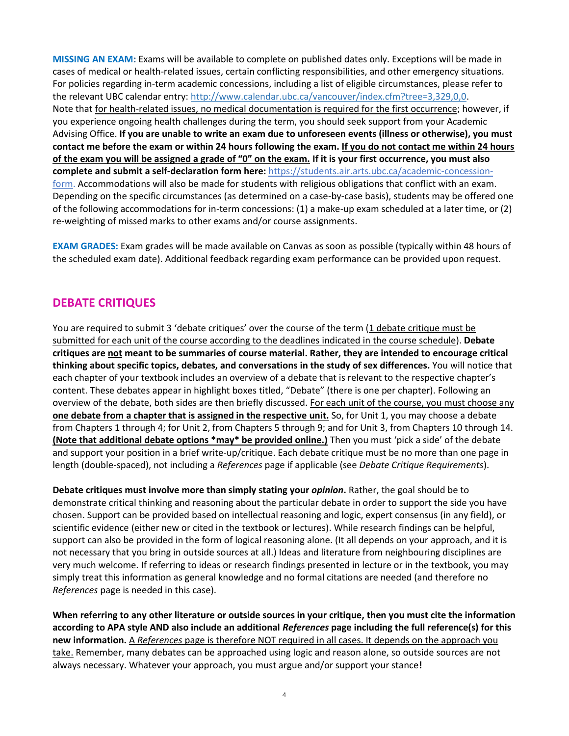**MISSING AN EXAM:** Exams will be available to complete on published dates only. Exceptions will be made in cases of medical or health-related issues, certain conflicting responsibilities, and other emergency situations. For policies regarding in-term academic concessions, including a list of eligible circumstances, please refer to the relevant UBC calendar entry: [http://www.calendar.ubc.ca/vancouver/index.cfm?tree=3,329,0,0.](http://www.calendar.ubc.ca/vancouver/index.cfm?tree=3,329,0,0) Note that for health-related issues, no medical documentation is required for the first occurrence; however, if you experience ongoing health challenges during the term, you should seek support from your Academic Advising Office. **If you are unable to write an exam due to unforeseen events (illness or otherwise), you must contact me before the exam or within 24 hours following the exam. If you do not contact me within 24 hours of the exam you will be assigned a grade of "0" on the exam. If it is your first occurrence, you must also complete and submit a self-declaration form here:** [https://students.air.arts.ubc.ca/academic-concession](https://students.air.arts.ubc.ca/academic-concession-form)[form.](https://students.air.arts.ubc.ca/academic-concession-form) Accommodations will also be made for students with religious obligations that conflict with an exam. Depending on the specific circumstances (as determined on a case-by-case basis), students may be offered one of the following accommodations for in-term concessions: (1) a make-up exam scheduled at a later time, or (2) re-weighting of missed marks to other exams and/or course assignments.

**EXAM GRADES:** Exam grades will be made available on Canvas as soon as possible (typically within 48 hours of the scheduled exam date). Additional feedback regarding exam performance can be provided upon request.

## **DEBATE CRITIQUES**

You are required to submit 3 'debate critiques' over the course of the term (1 debate critique must be submitted for each unit of the course according to the deadlines indicated in the course schedule). **Debate critiques are not meant to be summaries of course material. Rather, they are intended to encourage critical thinking about specific topics, debates, and conversations in the study of sex differences.** You will notice that each chapter of your textbook includes an overview of a debate that is relevant to the respective chapter's content. These debates appear in highlight boxes titled, "Debate" (there is one per chapter). Following an overview of the debate, both sides are then briefly discussed. For each unit of the course, you must choose any **one debate from a chapter that is assigned in the respective unit.** So, for Unit 1, you may choose a debate from Chapters 1 through 4; for Unit 2, from Chapters 5 through 9; and for Unit 3, from Chapters 10 through 14. **(Note that additional debate options \*may\* be provided online.)** Then you must 'pick a side' of the debate and support your position in a brief write-up/critique. Each debate critique must be no more than one page in length (double-spaced), not including a *References* page if applicable (see *Debate Critique Requirements*).

**Debate critiques must involve more than simply stating your** *opinion***.** Rather, the goal should be to demonstrate critical thinking and reasoning about the particular debate in order to support the side you have chosen. Support can be provided based on intellectual reasoning and logic, expert consensus (in any field), or scientific evidence (either new or cited in the textbook or lectures). While research findings can be helpful, support can also be provided in the form of logical reasoning alone. (It all depends on your approach, and it is not necessary that you bring in outside sources at all.) Ideas and literature from neighbouring disciplines are very much welcome. If referring to ideas or research findings presented in lecture or in the textbook, you may simply treat this information as general knowledge and no formal citations are needed (and therefore no *References* page is needed in this case).

**When referring to any other literature or outside sources in your critique, then you must cite the information according to APA style AND also include an additional** *References* **page including the full reference(s) for this new information.** A *References* page is therefore NOT required in all cases. It depends on the approach you take. Remember, many debates can be approached using logic and reason alone, so outside sources are not always necessary. Whatever your approach, you must argue and/or support your stance**!**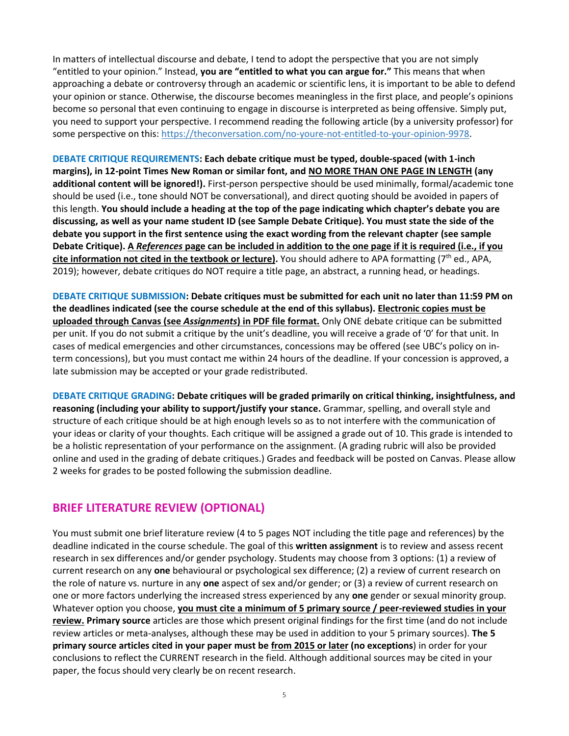In matters of intellectual discourse and debate, I tend to adopt the perspective that you are not simply "entitled to your opinion." Instead, **you are "entitled to what you can argue for."** This means that when approaching a debate or controversy through an academic or scientific lens, it is important to be able to defend your opinion or stance. Otherwise, the discourse becomes meaningless in the first place, and people's opinions become so personal that even continuing to engage in discourse is interpreted as being offensive. Simply put, you need to support your perspective. I recommend reading the following article (by a university professor) for some perspective on this: [https://theconversation.com/no-youre-not-entitled-to-your-opinion-9978.](https://theconversation.com/no-youre-not-entitled-to-your-opinion-9978)

**DEBATE CRITIQUE REQUIREMENTS: Each debate critique must be typed, double-spaced (with 1-inch margins), in 12-point Times New Roman or similar font, and NO MORE THAN ONE PAGE IN LENGTH (any additional content will be ignored!).** First-person perspective should be used minimally, formal/academic tone should be used (i.e., tone should NOT be conversational), and direct quoting should be avoided in papers of this length. **You should include a heading at the top of the page indicating which chapter's debate you are discussing, as well as your name student ID (see Sample Debate Critique). You must state the side of the debate you support in the first sentence using the exact wording from the relevant chapter (see sample Debate Critique). A** *References* **page can be included in addition to the one page if it is required (i.e., if you**  cite information not cited in the textbook or lecture). You should adhere to APA formatting (7<sup>th</sup> ed., APA, 2019); however, debate critiques do NOT require a title page, an abstract, a running head, or headings.

**DEBATE CRITIQUE SUBMISSION: Debate critiques must be submitted for each unit no later than 11:59 PM on the deadlines indicated (see the course schedule at the end of this syllabus). Electronic copies must be uploaded through Canvas (see** *Assignments***) in PDF file format.** Only ONE debate critique can be submitted per unit. If you do not submit a critique by the unit's deadline, you will receive a grade of '0' for that unit. In cases of medical emergencies and other circumstances, concessions may be offered (see UBC's policy on interm concessions), but you must contact me within 24 hours of the deadline. If your concession is approved, a late submission may be accepted or your grade redistributed.

**DEBATE CRITIQUE GRADING: Debate critiques will be graded primarily on critical thinking, insightfulness, and reasoning (including your ability to support/justify your stance.** Grammar, spelling, and overall style and structure of each critique should be at high enough levels so as to not interfere with the communication of your ideas or clarity of your thoughts. Each critique will be assigned a grade out of 10. This grade is intended to be a holistic representation of your performance on the assignment. (A grading rubric will also be provided online and used in the grading of debate critiques.) Grades and feedback will be posted on Canvas. Please allow 2 weeks for grades to be posted following the submission deadline.

#### **BRIEF LITERATURE REVIEW (OPTIONAL)**

You must submit one brief literature review (4 to 5 pages NOT including the title page and references) by the deadline indicated in the course schedule. The goal of this **written assignment** is to review and assess recent research in sex differences and/or gender psychology. Students may choose from 3 options: (1) a review of current research on any **one** behavioural or psychological sex difference; (2) a review of current research on the role of nature vs. nurture in any **one** aspect of sex and/or gender; or (3) a review of current research on one or more factors underlying the increased stress experienced by any **one** gender or sexual minority group. Whatever option you choose, **you must cite a minimum of 5 primary source / peer-reviewed studies in your review. Primary source** articles are those which present original findings for the first time (and do not include review articles or meta-analyses, although these may be used in addition to your 5 primary sources). **The 5 primary source articles cited in your paper must be from 2015 or later (no exceptions**) in order for your conclusions to reflect the CURRENT research in the field. Although additional sources may be cited in your paper, the focus should very clearly be on recent research.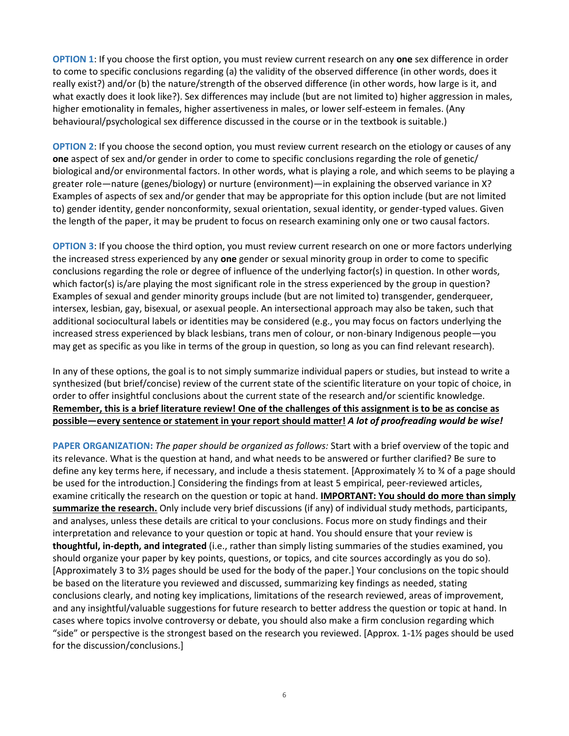**OPTION 1**: If you choose the first option, you must review current research on any **one** sex difference in order to come to specific conclusions regarding (a) the validity of the observed difference (in other words, does it really exist?) and/or (b) the nature/strength of the observed difference (in other words, how large is it, and what exactly does it look like?). Sex differences may include (but are not limited to) higher aggression in males, higher emotionality in females, higher assertiveness in males, or lower self-esteem in females. (Any behavioural/psychological sex difference discussed in the course or in the textbook is suitable.)

**OPTION 2**: If you choose the second option, you must review current research on the etiology or causes of any **one** aspect of sex and/or gender in order to come to specific conclusions regarding the role of genetic/ biological and/or environmental factors. In other words, what is playing a role, and which seems to be playing a greater role—nature (genes/biology) or nurture (environment)—in explaining the observed variance in X? Examples of aspects of sex and/or gender that may be appropriate for this option include (but are not limited to) gender identity, gender nonconformity, sexual orientation, sexual identity, or gender-typed values. Given the length of the paper, it may be prudent to focus on research examining only one or two causal factors.

**OPTION 3**: If you choose the third option, you must review current research on one or more factors underlying the increased stress experienced by any **one** gender or sexual minority group in order to come to specific conclusions regarding the role or degree of influence of the underlying factor(s) in question. In other words, which factor(s) is/are playing the most significant role in the stress experienced by the group in question? Examples of sexual and gender minority groups include (but are not limited to) transgender, genderqueer, intersex, lesbian, gay, bisexual, or asexual people. An intersectional approach may also be taken, such that additional sociocultural labels or identities may be considered (e.g., you may focus on factors underlying the increased stress experienced by black lesbians, trans men of colour, or non-binary Indigenous people—you may get as specific as you like in terms of the group in question, so long as you can find relevant research).

In any of these options, the goal is to not simply summarize individual papers or studies, but instead to write a synthesized (but brief/concise) review of the current state of the scientific literature on your topic of choice, in order to offer insightful conclusions about the current state of the research and/or scientific knowledge. **Remember, this is a brief literature review! One of the challenges of this assignment is to be as concise as possible—every sentence or statement in your report should matter!** *A lot of proofreading would be wise!*

**PAPER ORGANIZATION:** *The paper should be organized as follows:* Start with a brief overview of the topic and its relevance. What is the question at hand, and what needs to be answered or further clarified? Be sure to define any key terms here, if necessary, and include a thesis statement. [Approximately ½ to ¾ of a page should be used for the introduction.] Considering the findings from at least 5 empirical, peer-reviewed articles, examine critically the research on the question or topic at hand. **IMPORTANT: You should do more than simply summarize the research.** Only include very brief discussions (if any) of individual study methods, participants, and analyses, unless these details are critical to your conclusions. Focus more on study findings and their interpretation and relevance to your question or topic at hand. You should ensure that your review is **thoughtful, in-depth, and integrated** (i.e., rather than simply listing summaries of the studies examined, you should organize your paper by key points, questions, or topics, and cite sources accordingly as you do so). [Approximately 3 to 3½ pages should be used for the body of the paper.] Your conclusions on the topic should be based on the literature you reviewed and discussed, summarizing key findings as needed, stating conclusions clearly, and noting key implications, limitations of the research reviewed, areas of improvement, and any insightful/valuable suggestions for future research to better address the question or topic at hand. In cases where topics involve controversy or debate, you should also make a firm conclusion regarding which "side" or perspective is the strongest based on the research you reviewed. [Approx. 1-1½ pages should be used for the discussion/conclusions.]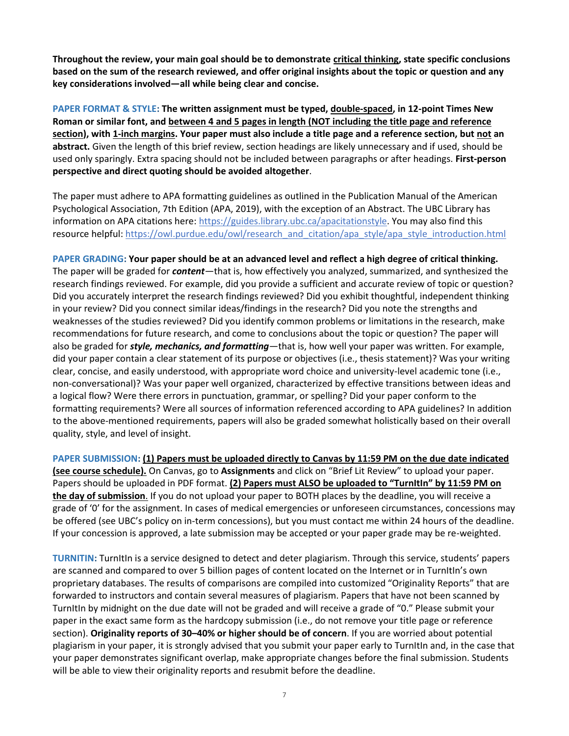**Throughout the review, your main goal should be to demonstrate critical thinking, state specific conclusions based on the sum of the research reviewed, and offer original insights about the topic or question and any key considerations involved—all while being clear and concise.** 

**PAPER FORMAT & STYLE: The written assignment must be typed, double-spaced, in 12-point Times New Roman or similar font, and between 4 and 5 pages in length (NOT including the title page and reference section), with 1-inch margins. Your paper must also include a title page and a reference section, but not an abstract.** Given the length of this brief review, section headings are likely unnecessary and if used, should be used only sparingly. Extra spacing should not be included between paragraphs or after headings. **First-person perspective and direct quoting should be avoided altogether**.

The paper must adhere to APA formatting guidelines as outlined in the Publication Manual of the American Psychological Association, 7th Edition (APA, 2019), with the exception of an Abstract. The UBC Library has information on APA citations here: [https://guides.library.ubc.ca/apacitationstyle.](https://guides.library.ubc.ca/apacitationstyle) You may also find this resource helpful: [https://owl.purdue.edu/owl/research\\_and\\_citation/apa\\_style/apa\\_style\\_introduction.html](https://owl.purdue.edu/owl/research_and_citation/apa_style/apa_style_introduction.html)

**PAPER GRADING: Your paper should be at an advanced level and reflect a high degree of critical thinking.** The paper will be graded for *content*—that is, how effectively you analyzed, summarized, and synthesized the research findings reviewed. For example, did you provide a sufficient and accurate review of topic or question? Did you accurately interpret the research findings reviewed? Did you exhibit thoughtful, independent thinking in your review? Did you connect similar ideas/findings in the research? Did you note the strengths and weaknesses of the studies reviewed? Did you identify common problems or limitations in the research, make recommendations for future research, and come to conclusions about the topic or question? The paper will also be graded for *style, mechanics, and formatting*—that is, how well your paper was written. For example, did your paper contain a clear statement of its purpose or objectives (i.e., thesis statement)? Was your writing clear, concise, and easily understood, with appropriate word choice and university-level academic tone (i.e., non-conversational)? Was your paper well organized, characterized by effective transitions between ideas and a logical flow? Were there errors in punctuation, grammar, or spelling? Did your paper conform to the formatting requirements? Were all sources of information referenced according to APA guidelines? In addition to the above-mentioned requirements, papers will also be graded somewhat holistically based on their overall quality, style, and level of insight.

**PAPER SUBMISSION: (1) Papers must be uploaded directly to Canvas by 11:59 PM on the due date indicated (see course schedule).** On Canvas, go to **Assignments** and click on "Brief Lit Review" to upload your paper. Papers should be uploaded in PDF format. **(2) Papers must ALSO be uploaded to "TurnItIn" by 11:59 PM on the day of submission**. If you do not upload your paper to BOTH places by the deadline, you will receive a grade of '0' for the assignment. In cases of medical emergencies or unforeseen circumstances, concessions may be offered (see UBC's policy on in-term concessions), but you must contact me within 24 hours of the deadline. If your concession is approved, a late submission may be accepted or your paper grade may be re-weighted.

**TURNITIN:** TurnItIn is a service designed to detect and deter plagiarism. Through this service, students' papers are scanned and compared to over 5 billion pages of content located on the Internet or in TurnItIn's own proprietary databases. The results of comparisons are compiled into customized "Originality Reports" that are forwarded to instructors and contain several measures of plagiarism. Papers that have not been scanned by TurnItIn by midnight on the due date will not be graded and will receive a grade of "0." Please submit your paper in the exact same form as the hardcopy submission (i.e., do not remove your title page or reference section). **Originality reports of 30–40% or higher should be of concern**. If you are worried about potential plagiarism in your paper, it is strongly advised that you submit your paper early to TurnItIn and, in the case that your paper demonstrates significant overlap, make appropriate changes before the final submission. Students will be able to view their originality reports and resubmit before the deadline.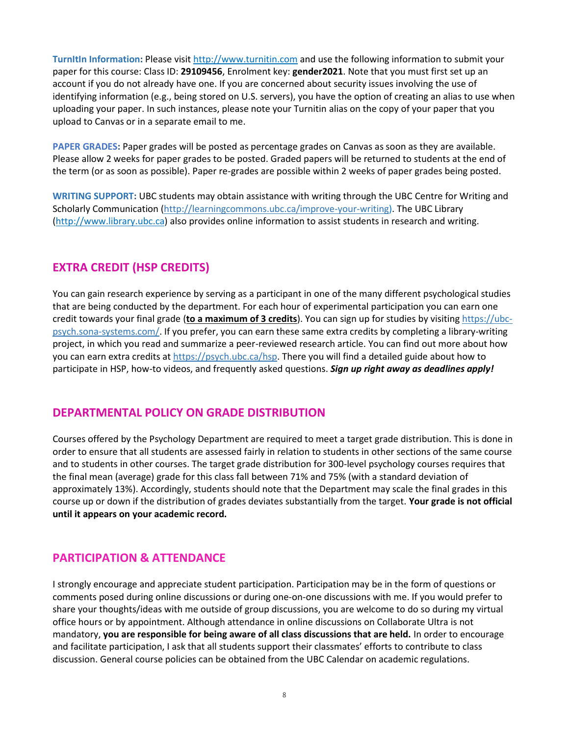**TurnItIn Information:** Please visit [http://www.turnitin.com](http://www.turnitin.com/) and use the following information to submit your paper for this course: Class ID: **29109456**, Enrolment key: **gender2021**. Note that you must first set up an account if you do not already have one. If you are concerned about security issues involving the use of identifying information (e.g., being stored on U.S. servers), you have the option of creating an alias to use when uploading your paper. In such instances, please note your Turnitin alias on the copy of your paper that you upload to Canvas or in a separate email to me.

**PAPER GRADES:** Paper grades will be posted as percentage grades on Canvas as soon as they are available. Please allow 2 weeks for paper grades to be posted. Graded papers will be returned to students at the end of the term (or as soon as possible). Paper re-grades are possible within 2 weeks of paper grades being posted.

**WRITING SUPPORT:** UBC students may obtain assistance with writing through the UBC Centre for Writing and Scholarly Communication [\(http://learningcommons.ubc.ca/improve-your-writing\)](http://learningcommons.ubc.ca/improve-your-writing). The UBC Library [\(http://www.library.ubc.ca\)](http://www.library.ubc.ca/) also provides online information to assist students in research and writing.

# **EXTRA CREDIT (HSP CREDITS)**

You can gain research experience by serving as a participant in one of the many different psychological studies that are being conducted by the department. For each hour of experimental participation you can earn one credit towards your final grade (**to a maximum of 3 credits**). You can sign up for studies by visiting [https://ubc](https://ubc-psych.sona-systems.com/)[psych.sona-systems.com/.](https://ubc-psych.sona-systems.com/) If you prefer, you can earn these same extra credits by completing a library-writing project, in which you read and summarize a peer-reviewed research article. You can find out more about how you can earn extra credits at [https://psych.ubc.ca/hsp.](https://psych.ubc.ca/hsp) There you will find a detailed guide about how to participate in HSP, how-to videos, and frequently asked questions. *Sign up right away as deadlines apply!*

# **DEPARTMENTAL POLICY ON GRADE DISTRIBUTION**

Courses offered by the Psychology Department are required to meet a target grade distribution. This is done in order to ensure that all students are assessed fairly in relation to students in other sections of the same course and to students in other courses. The target grade distribution for 300-level psychology courses requires that the final mean (average) grade for this class fall between 71% and 75% (with a standard deviation of approximately 13%). Accordingly, students should note that the Department may scale the final grades in this course up or down if the distribution of grades deviates substantially from the target. **Your grade is not official until it appears on your academic record.**

# **PARTICIPATION & ATTENDANCE**

I strongly encourage and appreciate student participation. Participation may be in the form of questions or comments posed during online discussions or during one-on-one discussions with me. If you would prefer to share your thoughts/ideas with me outside of group discussions, you are welcome to do so during my virtual office hours or by appointment. Although attendance in online discussions on Collaborate Ultra is not mandatory, **you are responsible for being aware of all class discussions that are held.** In order to encourage and facilitate participation, I ask that all students support their classmates' efforts to contribute to class discussion. General course policies can be obtained from the UBC Calendar on academic regulations.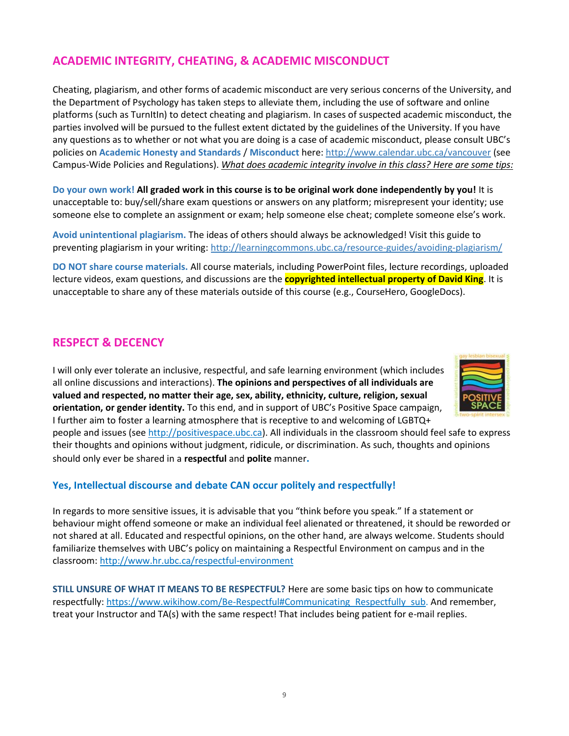# **ACADEMIC INTEGRITY, CHEATING, & ACADEMIC MISCONDUCT**

Cheating, plagiarism, and other forms of academic misconduct are very serious concerns of the University, and the Department of Psychology has taken steps to alleviate them, including the use of software and online platforms (such as TurnItIn) to detect cheating and plagiarism. In cases of suspected academic misconduct, the parties involved will be pursued to the fullest extent dictated by the guidelines of the University. If you have any questions as to whether or not what you are doing is a case of academic misconduct, please consult UBC's policies on **Academic Honesty and Standards** / **Misconduct** here: [http://www.calendar.ubc.ca/vancouver](http://www.calendar.ubc.ca/vancouver/) (see Campus-Wide Policies and Regulations). *What does academic integrity involve in this class? Here are some tips:*

**Do your own work! All graded work in this course is to be original work done independently by you!** It is unacceptable to: buy/sell/share exam questions or answers on any platform; misrepresent your identity; use someone else to complete an assignment or exam; help someone else cheat; complete someone else's work.

**Avoid unintentional plagiarism.** The ideas of others should always be acknowledged! Visit this guide to preventing plagiarism in your writing[: http://learningcommons.ubc.ca/resource-guides/avoiding-plagiarism/](http://learningcommons.ubc.ca/resource-guides/avoiding-plagiarism/) 

**DO NOT share course materials.** All course materials, including PowerPoint files, lecture recordings, uploaded lecture videos, exam questions, and discussions are the **copyrighted intellectual property of David King**. It is unacceptable to share any of these materials outside of this course (e.g., CourseHero, GoogleDocs).

#### **RESPECT & DECENCY**

I will only ever tolerate an inclusive, respectful, and safe learning environment (which includes all online discussions and interactions). **The opinions and perspectives of all individuals are valued and respected, no matter their age, sex, ability, ethnicity, culture, religion, sexual orientation, or gender identity.** To this end, and in support of UBC's Positive Space campaign, I further aim to foster a learning atmosphere that is receptive to and welcoming of LGBTQ+



people and issues (se[e http://positivespace.ubc.ca\)](http://positivespace.ubc.ca/). All individuals in the classroom should feel safe to express their thoughts and opinions without judgment, ridicule, or discrimination. As such, thoughts and opinions should only ever be shared in a **respectful** and **polite** manner**.** 

#### **Yes, Intellectual discourse and debate CAN occur politely and respectfully!**

In regards to more sensitive issues, it is advisable that you "think before you speak." If a statement or behaviour might offend someone or make an individual feel alienated or threatened, it should be reworded or not shared at all. Educated and respectful opinions, on the other hand, are always welcome. Students should familiarize themselves with UBC's policy on maintaining a Respectful Environment on campus and in the classroom: [http://www.hr.ubc.ca/respectful-environment](http://www.hr.ubc.ca/respectful-environment/)

**STILL UNSURE OF WHAT IT MEANS TO BE RESPECTFUL?** Here are some basic tips on how to communicate respectfully[: https://www.wikihow.com/Be-Respectful#Communicating\\_Respectfully\\_sub.](https://www.wikihow.com/Be-Respectful#Communicating_Respectfully_sub) And remember, treat your Instructor and TA(s) with the same respect! That includes being patient for e-mail replies.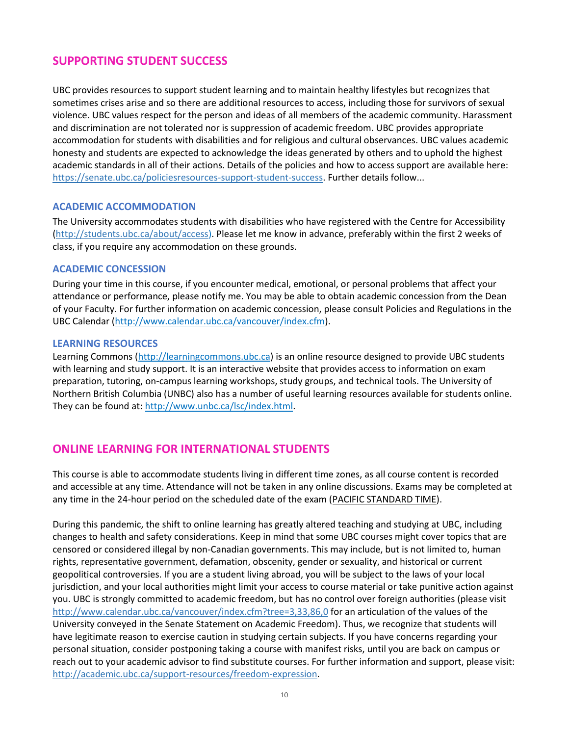### **SUPPORTING STUDENT SUCCESS**

UBC provides resources to support student learning and to maintain healthy lifestyles but recognizes that sometimes crises arise and so there are additional resources to access, including those for survivors of sexual violence. UBC values respect for the person and ideas of all members of the academic community. Harassment and discrimination are not tolerated nor is suppression of academic freedom. UBC provides appropriate accommodation for students with disabilities and for religious and cultural observances. UBC values academic honesty and students are expected to acknowledge the ideas generated by others and to uphold the highest academic standards in all of their actions. Details of the policies and how to access support are available here: [https://senate.ubc.ca/policiesresources-support-student-success.](https://senate.ubc.ca/policiesresources-support-student-success) Further details follow...

#### **ACADEMIC ACCOMMODATION**

The University accommodates students with disabilities who have registered with the Centre for Accessibility [\(http://students.ubc.ca/about/access\)](http://students.ubc.ca/about/access). Please let me know in advance, preferably within the first 2 weeks of class, if you require any accommodation on these grounds.

#### **ACADEMIC CONCESSION**

During your time in this course, if you encounter medical, emotional, or personal problems that affect your attendance or performance, please notify me. You may be able to obtain academic concession from the Dean of your Faculty. For further information on academic concession, please consult Policies and Regulations in the UBC Calendar [\(http://www.calendar.ubc.ca/vancouver/index.cfm\)](http://www.calendar.ubc.ca/vancouver/index.cfm).

#### **LEARNING RESOURCES**

Learning Commons [\(http://learningcommons.ubc.ca\)](http://learningcommons.ubc.ca/) is an online resource designed to provide UBC students with learning and study support. It is an interactive website that provides access to information on exam preparation, tutoring, on-campus learning workshops, study groups, and technical tools. The University of Northern British Columbia (UNBC) also has a number of useful learning resources available for students online. They can be found at: [http://www.unbc.ca/lsc/index.html.](http://www.unbc.ca/lsc/index.html)

#### **ONLINE LEARNING FOR INTERNATIONAL STUDENTS**

This course is able to accommodate students living in different time zones, as all course content is recorded and accessible at any time. Attendance will not be taken in any online discussions. Exams may be completed at any time in the 24-hour period on the scheduled date of the exam (PACIFIC STANDARD TIME).

During this pandemic, the shift to online learning has greatly altered teaching and studying at UBC, including changes to health and safety considerations. Keep in mind that some UBC courses might cover topics that are censored or considered illegal by non-Canadian governments. This may include, but is not limited to, human rights, representative government, defamation, obscenity, gender or sexuality, and historical or current geopolitical controversies. If you are a student living abroad, you will be subject to the laws of your local jurisdiction, and your local authorities might limit your access to course material or take punitive action against you. UBC is strongly committed to academic freedom, but has no control over foreign authorities (please visit <http://www.calendar.ubc.ca/vancouver/index.cfm?tree=3,33,86,0> for an articulation of the values of the University conveyed in the Senate Statement on Academic Freedom). Thus, we recognize that students will have legitimate reason to exercise caution in studying certain subjects. If you have concerns regarding your personal situation, consider postponing taking a course with manifest risks, until you are back on campus or reach out to your academic advisor to find substitute courses. For further information and support, please visit: [http://academic.ubc.ca/support-resources/freedom-expression.](http://academic.ubc.ca/support-resources/freedom-expression)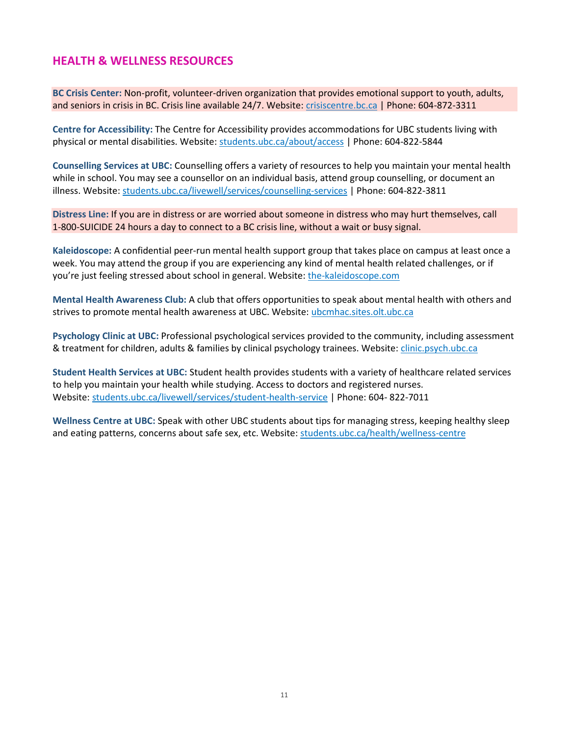## **HEALTH & WELLNESS RESOURCES**

**BC Crisis Center:** Non-profit, volunteer-driven organization that provides emotional support to youth, adults, and seniors in crisis in BC. Crisis line available 24/7. Website: crisiscentre.bc.ca | Phone: 604-872-3311

**Centre for Accessibility:** The Centre for Accessibility provides accommodations for UBC students living with physical or mental disabilities. Website: students.ubc.ca/about/access | Phone: 604-822-5844

**Counselling Services at UBC:** Counselling offers a variety of resources to help you maintain your mental health while in school. You may see a counsellor on an individual basis, attend group counselling, or document an illness. Website: students.ubc.ca/livewell/services/counselling-services | Phone: 604-822-3811

**Distress Line:** If you are in distress or are worried about someone in distress who may hurt themselves, call 1-800-SUICIDE 24 hours a day to connect to a BC crisis line, without a wait or busy signal.

**Kaleidoscope:** A confidential peer-run mental health support group that takes place on campus at least once a week. You may attend the group if you are experiencing any kind of mental health related challenges, or if you're just feeling stressed about school in general. Website: the-kaleidoscope.com

**Mental Health Awareness Club:** A club that offers opportunities to speak about mental health with others and strives to promote mental health awareness at UBC. Website: ubcmhac.sites.olt.ubc.ca

**Psychology Clinic at UBC:** Professional psychological services provided to the community, including assessment & treatment for children, adults & families by clinical psychology trainees. Website: clinic.psych.ubc.ca

**Student Health Services at UBC:** Student health provides students with a variety of healthcare related services to help you maintain your health while studying. Access to doctors and registered nurses. Website: students.ubc.ca/livewell/services/student-health-service | Phone: 604- 822-7011

**Wellness Centre at UBC:** Speak with other UBC students about tips for managing stress, keeping healthy sleep and eating patterns, concerns about safe sex, etc. Website: students.ubc.ca/health/wellness-centre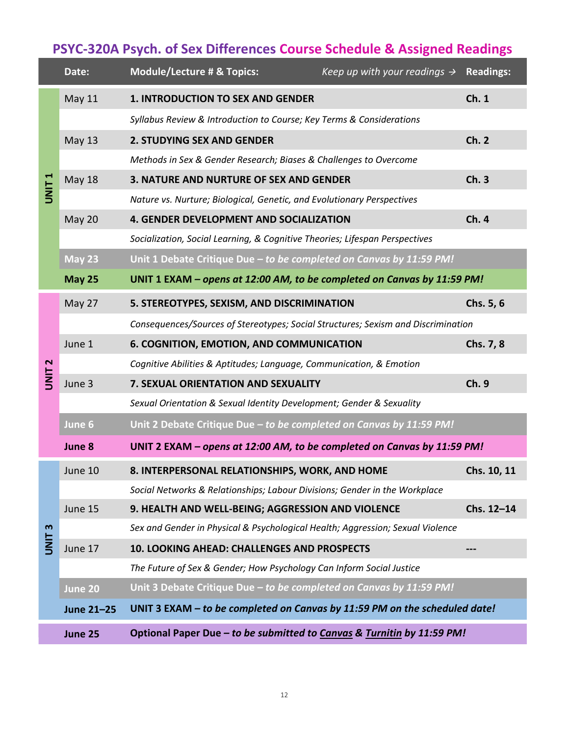# **PSYC-320A Psych. of Sex Differences Course Schedule & Assigned Readings**

|                  | Date:         | <b>Module/Lecture # &amp; Topics:</b><br>Keep up with your readings $\rightarrow$ Readings: |             |
|------------------|---------------|---------------------------------------------------------------------------------------------|-------------|
| <b>UNIT1</b>     | May 11        | <b>1. INTRODUCTION TO SEX AND GENDER</b>                                                    | Ch.1        |
|                  |               | Syllabus Review & Introduction to Course; Key Terms & Considerations                        |             |
|                  | May 13        | <b>2. STUDYING SEX AND GENDER</b>                                                           | Ch.2        |
|                  |               | Methods in Sex & Gender Research; Biases & Challenges to Overcome                           |             |
|                  | <b>May 18</b> | 3. NATURE AND NURTURE OF SEX AND GENDER                                                     | Ch.3        |
|                  |               | Nature vs. Nurture; Biological, Genetic, and Evolutionary Perspectives                      |             |
|                  | May 20        | 4. GENDER DEVELOPMENT AND SOCIALIZATION                                                     | Ch.4        |
|                  |               | Socialization, Social Learning, & Cognitive Theories; Lifespan Perspectives                 |             |
|                  | <b>May 23</b> | Unit 1 Debate Critique Due - to be completed on Canvas by 11:59 PM!                         |             |
|                  | <b>May 25</b> | UNIT 1 EXAM - opens at 12:00 AM, to be completed on Canvas by 11:59 PM!                     |             |
| N<br><b>UNIT</b> | May 27        | 5. STEREOTYPES, SEXISM, AND DISCRIMINATION                                                  | Chs. 5, 6   |
|                  |               | Consequences/Sources of Stereotypes; Social Structures; Sexism and Discrimination           |             |
|                  | June 1        | 6. COGNITION, EMOTION, AND COMMUNICATION                                                    | Chs. 7, 8   |
|                  |               | Cognitive Abilities & Aptitudes; Language, Communication, & Emotion                         |             |
|                  | June 3        | 7. SEXUAL ORIENTATION AND SEXUALITY                                                         | Ch.9        |
|                  |               | Sexual Orientation & Sexual Identity Development; Gender & Sexuality                        |             |
|                  | June 6        | Unit 2 Debate Critique Due - to be completed on Canvas by 11:59 PM!                         |             |
|                  | June 8        | UNIT 2 EXAM - opens at 12:00 AM, to be completed on Canvas by 11:59 PM!                     |             |
| m<br><b>TINU</b> | June 10       | 8. INTERPERSONAL RELATIONSHIPS, WORK, AND HOME                                              | Chs. 10, 11 |
|                  |               | Social Networks & Relationships; Labour Divisions; Gender in the Workplace                  |             |
|                  | June 15       | 9. HEALTH AND WELL-BEING; AGGRESSION AND VIOLENCE                                           | Chs. 12-14  |
|                  |               | Sex and Gender in Physical & Psychological Health; Aggression; Sexual Violence              |             |
|                  | June 17       | 10. LOOKING AHEAD: CHALLENGES AND PROSPECTS                                                 |             |
|                  |               | The Future of Sex & Gender; How Psychology Can Inform Social Justice                        |             |
|                  | June 20       | Unit 3 Debate Critique Due - to be completed on Canvas by 11:59 PM!                         |             |
|                  | June 21-25    | UNIT 3 EXAM - to be completed on Canvas by 11:59 PM on the scheduled date!                  |             |
|                  | June 25       | Optional Paper Due - to be submitted to Canvas & Turnitin by 11:59 PM!                      |             |